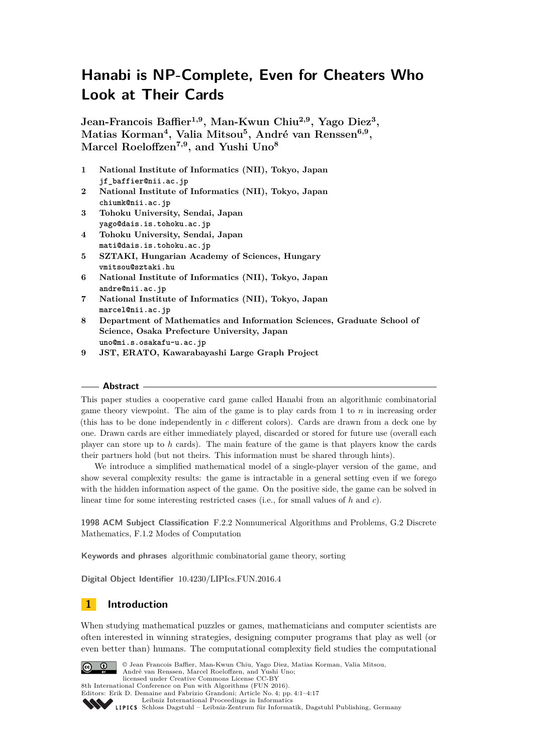# **Hanabi is NP-Complete, Even for Cheaters Who Look at Their Cards**

**Jean-Francois Baffier1,9, Man-Kwun Chiu2,9, Yago Diez<sup>3</sup> , Matias Korman<sup>4</sup> , Valia Mitsou<sup>5</sup> , André van Renssen6,9 , Marcel Roeloffzen7,9, and Yushi Uno<sup>8</sup>**

- **1 National Institute of Informatics (NII), Tokyo, Japan jf\_baffier@nii.ac.jp**
- **2 National Institute of Informatics (NII), Tokyo, Japan chiumk@nii.ac.jp**
- **3 Tohoku University, Sendai, Japan yago@dais.is.tohoku.ac.jp**
- **4 Tohoku University, Sendai, Japan mati@dais.is.tohoku.ac.jp**
- **5 SZTAKI, Hungarian Academy of Sciences, Hungary vmitsou@sztaki.hu**
- **6 National Institute of Informatics (NII), Tokyo, Japan andre@nii.ac.jp**
- **7 National Institute of Informatics (NII), Tokyo, Japan marcel@nii.ac.jp**
- **8 Department of Mathematics and Information Sciences, Graduate School of Science, Osaka Prefecture University, Japan uno@mi.s.osakafu-u.ac.jp**
- **9 JST, ERATO, Kawarabayashi Large Graph Project**

### **Abstract**

This paper studies a cooperative card game called Hanabi from an algorithmic combinatorial game theory viewpoint. The aim of the game is to play cards from 1 to *n* in increasing order (this has to be done independently in *c* different colors). Cards are drawn from a deck one by one. Drawn cards are either immediately played, discarded or stored for future use (overall each player can store up to *h* cards). The main feature of the game is that players know the cards their partners hold (but not theirs. This information must be shared through hints).

We introduce a simplified mathematical model of a single-player version of the game, and show several complexity results: the game is intractable in a general setting even if we forego with the hidden information aspect of the game. On the positive side, the game can be solved in linear time for some interesting restricted cases (i.e., for small values of *h* and *c*).

**1998 ACM Subject Classification** F.2.2 Nonnumerical Algorithms and Problems, G.2 Discrete Mathematics, F.1.2 Modes of Computation

**Keywords and phrases** algorithmic combinatorial game theory, sorting

**Digital Object Identifier** [10.4230/LIPIcs.FUN.2016.4](http://dx.doi.org/10.4230/LIPIcs.FUN.2016.4)

# **1 Introduction**

When studying mathematical puzzles or games, mathematicians and computer scientists are often interested in winning strategies, designing computer programs that play as well (or even better than) humans. The computational complexity field studies the computational



© Jean Francois Baffier, Man-Kwun Chiu, Yago Diez, Matias Korman, Valia Mitsou, André van Renssen, Marcel Roeloffzen, and Yushi Uno;

licensed under Creative Commons License CC-BY 8th International Conference on Fun with Algorithms (FUN 2016).

Editors: Erik D. Demaine and Fabrizio Grandoni; Article No. 4; pp. 4:1-4[:17](#page-16-0)



[Leibniz International Proceedings in Informatics](http://www.dagstuhl.de/lipics/)

[Schloss Dagstuhl – Leibniz-Zentrum für Informatik, Dagstuhl Publishing, Germany](http://www.dagstuhl.de)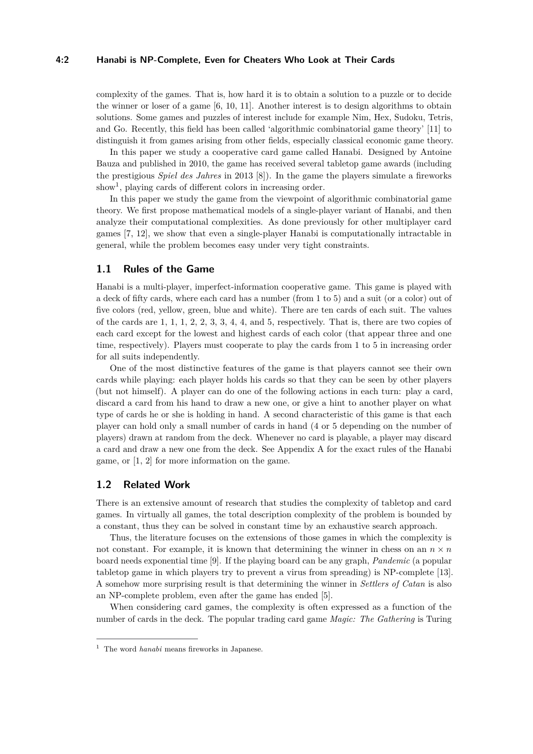### **4:2 Hanabi is NP-Complete, Even for Cheaters Who Look at Their Cards**

complexity of the games. That is, how hard it is to obtain a solution to a puzzle or to decide the winner or loser of a game [\[6,](#page-13-0) [10,](#page-13-1) [11\]](#page-13-2). Another interest is to design algorithms to obtain solutions. Some games and puzzles of interest include for example Nim, Hex, Sudoku, Tetris, and Go. Recently, this field has been called 'algorithmic combinatorial game theory' [\[11\]](#page-13-2) to distinguish it from games arising from other fields, especially classical economic game theory.

In this paper we study a cooperative card game called Hanabi. Designed by Antoine Bauza and published in 2010, the game has received several tabletop game awards (including the prestigious *Spiel des Jahres* in 2013 [\[8\]](#page-13-3)). In the game the players simulate a fireworks show<sup>[1](#page-1-0)</sup>, playing cards of different colors in increasing order.

In this paper we study the game from the viewpoint of algorithmic combinatorial game theory. We first propose mathematical models of a single-player variant of Hanabi, and then analyze their computational complexities. As done previously for other multiplayer card games [\[7,](#page-13-4) [12\]](#page-13-5), we show that even a single-player Hanabi is computationally intractable in general, while the problem becomes easy under very tight constraints.

# **1.1 Rules of the Game**

Hanabi is a multi-player, imperfect-information cooperative game. This game is played with a deck of fifty cards, where each card has a number (from 1 to 5) and a suit (or a color) out of five colors (red, yellow, green, blue and white). There are ten cards of each suit. The values of the cards are 1, 1, 1, 2, 2, 3, 3, 4, 4, and 5, respectively. That is, there are two copies of each card except for the lowest and highest cards of each color (that appear three and one time, respectively). Players must cooperate to play the cards from 1 to 5 in increasing order for all suits independently.

One of the most distinctive features of the game is that players cannot see their own cards while playing: each player holds his cards so that they can be seen by other players (but not himself). A player can do one of the following actions in each turn: play a card, discard a card from his hand to draw a new one, or give a hint to another player on what type of cards he or she is holding in hand. A second characteristic of this game is that each player can hold only a small number of cards in hand (4 or 5 depending on the number of players) drawn at random from the deck. Whenever no card is playable, a player may discard a card and draw a new one from the deck. See Appendix [A](#page-13-6) for the exact rules of the Hanabi game, or [\[1,](#page-13-7) [2\]](#page-13-8) for more information on the game.

## **1.2 Related Work**

There is an extensive amount of research that studies the complexity of tabletop and card games. In virtually all games, the total description complexity of the problem is bounded by a constant, thus they can be solved in constant time by an exhaustive search approach.

Thus, the literature focuses on the extensions of those games in which the complexity is not constant. For example, it is known that determining the winner in chess on an  $n \times n$ board needs exponential time [\[9\]](#page-13-9). If the playing board can be any graph, *Pandemic* (a popular tabletop game in which players try to prevent a virus from spreading) is NP-complete [\[13\]](#page-13-10). A somehow more surprising result is that determining the winner in *Settlers of Catan* is also an NP-complete problem, even after the game has ended [\[5\]](#page-13-11).

When considering card games, the complexity is often expressed as a function of the number of cards in the deck. The popular trading card game *Magic: The Gathering* is Turing

<span id="page-1-0"></span><sup>1</sup> The word *hanabi* means fireworks in Japanese.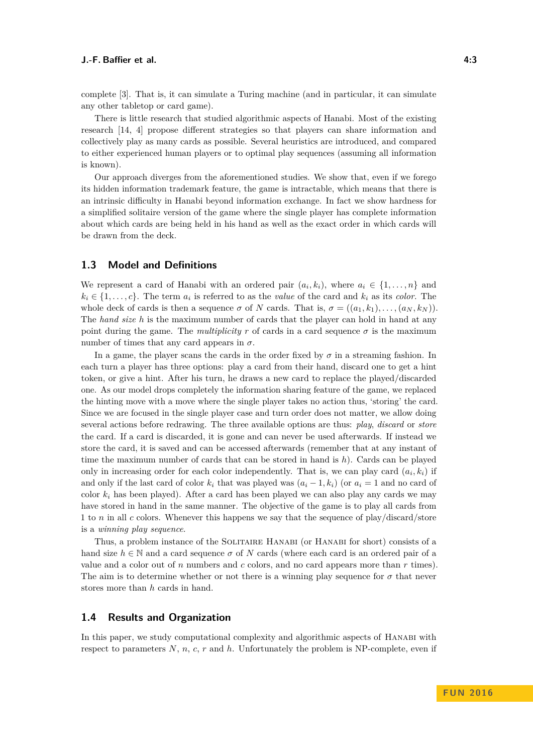There is little research that studied algorithmic aspects of Hanabi. Most of the existing research [\[14,](#page-13-13) [4\]](#page-13-14) propose different strategies so that players can share information and collectively play as many cards as possible. Several heuristics are introduced, and compared to either experienced human players or to optimal play sequences (assuming all information is known).

Our approach diverges from the aforementioned studies. We show that, even if we forego its hidden information trademark feature, the game is intractable, which means that there is an intrinsic difficulty in Hanabi beyond information exchange. In fact we show hardness for a simplified solitaire version of the game where the single player has complete information about which cards are being held in his hand as well as the exact order in which cards will be drawn from the deck.

### **1.3 Model and Definitions**

We represent a card of Hanabi with an ordered pair  $(a_i, k_i)$ , where  $a_i \in \{1, \ldots, n\}$  and  $k_i \in \{1, \ldots, c\}$ . The term  $a_i$  is referred to as the *value* of the card and  $k_i$  as its *color*. The whole deck of cards is then a sequence  $\sigma$  of *N* cards. That is,  $\sigma = ((a_1, k_1), \ldots, (a_N, k_N))$ . The *hand size h* is the maximum number of cards that the player can hold in hand at any point during the game. The *multiplicity*  $r$  of cards in a card sequence  $\sigma$  is the maximum number of times that any card appears in  $\sigma$ .

In a game, the player scans the cards in the order fixed by  $\sigma$  in a streaming fashion. In each turn a player has three options: play a card from their hand, discard one to get a hint token, or give a hint. After his turn, he draws a new card to replace the played/discarded one. As our model drops completely the information sharing feature of the game, we replaced the hinting move with a move where the single player takes no action thus, 'storing' the card. Since we are focused in the single player case and turn order does not matter, we allow doing several actions before redrawing. The three available options are thus: *play*, *discard* or *store* the card. If a card is discarded, it is gone and can never be used afterwards. If instead we store the card, it is saved and can be accessed afterwards (remember that at any instant of time the maximum number of cards that can be stored in hand is *h*). Cards can be played only in increasing order for each color independently. That is, we can play card  $(a_i, k_i)$  if and only if the last card of color  $k_i$  that was played was  $(a_i - 1, k_i)$  (or  $a_i = 1$  and no card of color  $k_i$  has been played). After a card has been played we can also play any cards we may have stored in hand in the same manner. The objective of the game is to play all cards from 1 to *n* in all *c* colors. Whenever this happens we say that the sequence of play/discard/store is a *winning play sequence*.

Thus, a problem instance of the SOLITAIRE HANABI (or HANABI for short) consists of a hand size  $h \in \mathbb{N}$  and a card sequence  $\sigma$  of *N* cards (where each card is an ordered pair of a value and a color out of *n* numbers and *c* colors, and no card appears more than *r* times). The aim is to determine whether or not there is a winning play sequence for  $\sigma$  that never stores more than *h* cards in hand.

### **1.4 Results and Organization**

In this paper, we study computational complexity and algorithmic aspects of HANABI with respect to parameters  $N$ ,  $n$ ,  $c$ ,  $r$  and  $h$ . Unfortunately the problem is NP-complete, even if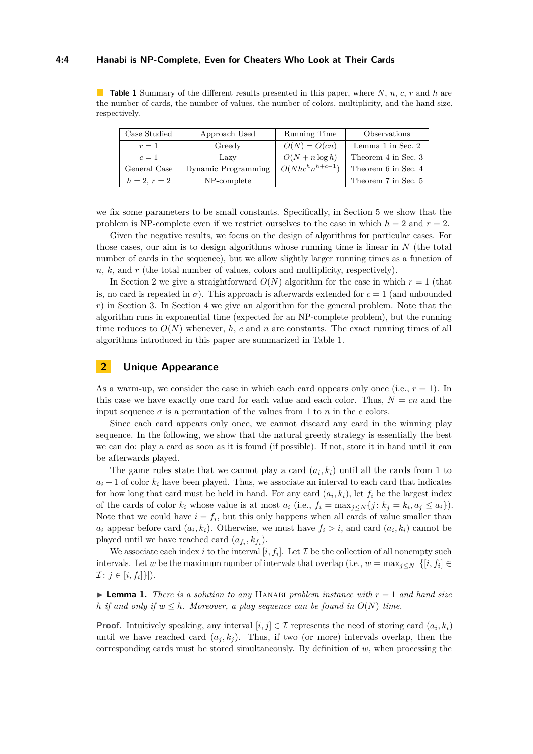#### **4:4 Hanabi is NP-Complete, Even for Cheaters Who Look at Their Cards**

<span id="page-3-2"></span>**Table 1** Summary of the different results presented in this paper, where *N*, *n*, *c*, *r* and *h* are the number of cards, the number of values, the number of colors, multiplicity, and the hand size, respectively.

| Case Studied   | Approach Used       | Running Time        | Observations        |
|----------------|---------------------|---------------------|---------------------|
| $r=1$          | Greedy              | $O(N) = O(cn)$      | Lemma 1 in Sec. 2   |
| $c=1$          | Lazy                | $O(N + n \log h)$   | Theorem 4 in Sec. 3 |
| General Case   | Dynamic Programming | $O(Nhc^hn^{h+c-1})$ | Theorem 6 in Sec. 4 |
| $h = 2, r = 2$ | NP-complete         |                     | Theorem 7 in Sec. 5 |

we fix some parameters to be small constants. Specifically, in Section [5](#page-8-2) we show that the problem is NP-complete even if we restrict ourselves to the case in which  $h = 2$  and  $r = 2$ .

Given the negative results, we focus on the design of algorithms for particular cases. For those cases, our aim is to design algorithms whose running time is linear in *N* (the total number of cards in the sequence), but we allow slightly larger running times as a function of *n*, *k*, and *r* (the total number of values, colors and multiplicity, respectively).

In Section [2](#page-3-1) we give a straightforward  $O(N)$  algorithm for the case in which  $r = 1$  (that is, no card is repeated in  $\sigma$ ). This approach is afterwards extended for  $c = 1$  (and unbounded *r*) in Section [3.](#page-4-0) In Section [4](#page-6-0) we give an algorithm for the general problem. Note that the algorithm runs in exponential time (expected for an NP-complete problem), but the running time reduces to  $O(N)$  whenever, h, c and n are constants. The exact running times of all algorithms introduced in this paper are summarized in Table [1.](#page-3-2)

# <span id="page-3-1"></span>**2 Unique Appearance**

As a warm-up, we consider the case in which each card appears only once (i.e.,  $r = 1$ ). In this case we have exactly one card for each value and each color. Thus,  $N = cn$  and the input sequence  $\sigma$  is a permutation of the values from 1 to *n* in the *c* colors.

Since each card appears only once, we cannot discard any card in the winning play sequence. In the following, we show that the natural greedy strategy is essentially the best we can do: play a card as soon as it is found (if possible). If not, store it in hand until it can be afterwards played.

The game rules state that we cannot play a card  $(a_i, k_i)$  until all the cards from 1 to  $a_i - 1$  of color  $k_i$  have been played. Thus, we associate an interval to each card that indicates for how long that card must be held in hand. For any card  $(a_i, k_i)$ , let  $f_i$  be the largest index of the cards of color  $k_i$  whose value is at most  $a_i$  (i.e.,  $f_i = \max_{j \leq N} \{j : k_j = k_i, a_j \leq a_i\}$ ). Note that we could have  $i = f_i$ , but this only happens when all cards of value smaller than *a*<sub>*i*</sub> appear before card  $(a_i, k_i)$ . Otherwise, we must have  $f_i > i$ , and card  $(a_i, k_i)$  cannot be played until we have reached card  $(a_{f_i}, k_{f_i})$ .

We associate each index *i* to the interval  $[i, f_i]$ . Let  $\mathcal I$  be the collection of all nonempty such intervals. Let *w* be the maximum number of intervals that overlap (i.e.,  $w = \max_{j \leq N} |\{ [i, f_i] \in$  $\mathcal{I}: j \in [i, f_i] \}|.$ 

<span id="page-3-0"></span> $\triangleright$  **Lemma 1.** *There is a solution to any* HANABI *problem instance with*  $r = 1$  *and hand size h if and only if*  $w \leq h$ *. Moreover, a play sequence can be found in*  $O(N)$  *time.* 

**Proof.** Intuitively speaking, any interval  $[i, j] \in \mathcal{I}$  represents the need of storing card  $(a_i, k_i)$ until we have reached card  $(a_j, k_j)$ . Thus, if two (or more) intervals overlap, then the corresponding cards must be stored simultaneously. By definition of *w*, when processing the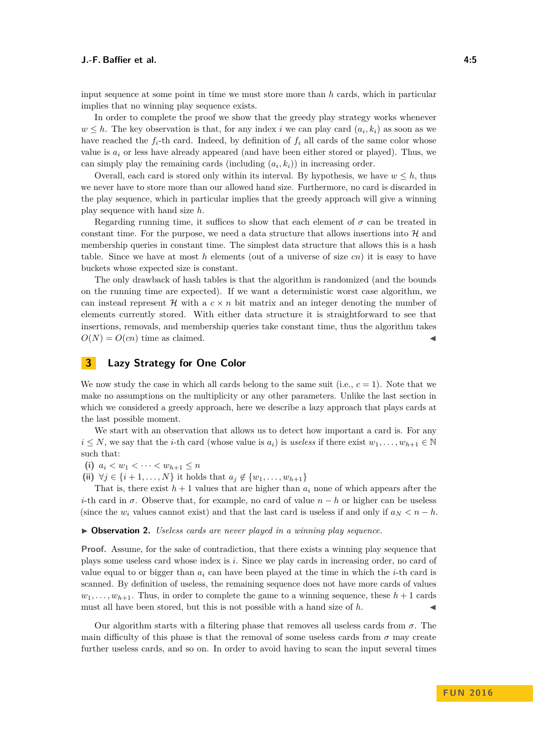input sequence at some point in time we must store more than *h* cards, which in particular implies that no winning play sequence exists.

In order to complete the proof we show that the greedy play strategy works whenever  $w \leq h$ . The key observation is that, for any index *i* we can play card  $(a_i, k_i)$  as soon as we have reached the  $f_i$ -th card. Indeed, by definition of  $f_i$  all cards of the same color whose value is  $a_i$  or less have already appeared (and have been either stored or played). Thus, we can simply play the remaining cards (including  $(a_i, k_i)$ ) in increasing order.

Overall, each card is stored only within its interval. By hypothesis, we have  $w \leq h$ , thus we never have to store more than our allowed hand size. Furthermore, no card is discarded in the play sequence, which in particular implies that the greedy approach will give a winning play sequence with hand size *h*.

Regarding running time, it suffices to show that each element of  $\sigma$  can be treated in constant time. For the purpose, we need a data structure that allows insertions into  $\mathcal{H}$  and membership queries in constant time. The simplest data structure that allows this is a hash table. Since we have at most *h* elements (out of a universe of size *cn*) it is easy to have buckets whose expected size is constant.

The only drawback of hash tables is that the algorithm is randomized (and the bounds on the running time are expected). If we want a deterministic worst case algorithm, we can instead represent  $\mathcal H$  with a  $c \times n$  bit matrix and an integer denoting the number of elements currently stored. With either data structure it is straightforward to see that insertions, removals, and membership queries take constant time, thus the algorithm takes  $O(N) = O(cn)$  time as claimed.

# <span id="page-4-0"></span>**3 Lazy Strategy for One Color**

We now study the case in which all cards belong to the same suit (i.e.,  $c = 1$ ). Note that we make no assumptions on the multiplicity or any other parameters. Unlike the last section in which we considered a greedy approach, here we describe a lazy approach that plays cards at the last possible moment.

We start with an observation that allows us to detect how important a card is. For any  $i \leq N$ , we say that the *i*-th card (whose value is  $a_i$ ) is *useless* if there exist  $w_1, \ldots, w_{h+1} \in \mathbb{N}$ such that:

(i)  $a_i < w_1 < \cdots < w_{h+1} \leq n$ 

**(ii)** ∀*j* ∈ {*i* + 1, . . . , *N*} it holds that  $a_j \notin \{w_1, \ldots, w_{h+1}\}\$ 

That is, there exist  $h + 1$  values that are higher than  $a_i$  none of which appears after the *i*-th card in  $\sigma$ . Observe that, for example, no card of value  $n - h$  or higher can be useless (since the  $w_i$  values cannot exist) and that the last card is useless if and only if  $a_N < n - h$ .

▶ **Observation 2.** *Useless cards are never played in a winning play sequence.* 

**Proof.** Assume, for the sake of contradiction, that there exists a winning play sequence that plays some useless card whose index is *i*. Since we play cards in increasing order, no card of value equal to or bigger than  $a_i$  can have been played at the time in which the *i*-th card is scanned. By definition of useless, the remaining sequence does not have more cards of values  $w_1, \ldots, w_{h+1}$ . Thus, in order to complete the game to a winning sequence, these  $h+1$  cards must all have been stored, but this is not possible with a hand size of h.

Our algorithm starts with a filtering phase that removes all useless cards from *σ*. The main difficulty of this phase is that the removal of some useless cards from  $\sigma$  may create further useless cards, and so on. In order to avoid having to scan the input several times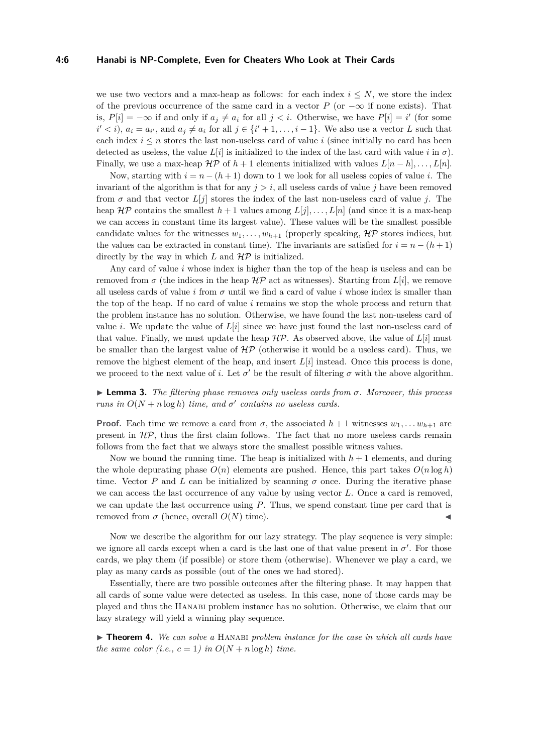#### **4:6 Hanabi is NP-Complete, Even for Cheaters Who Look at Their Cards**

we use two vectors and a max-heap as follows: for each index  $i \leq N$ , we store the index of the previous occurrence of the same card in a vector *P* (or  $-\infty$  if none exists). That is,  $P[i] = -\infty$  if and only if  $a_j \neq a_i$  for all  $j < i$ . Otherwise, we have  $P[i] = i'$  (for some  $i' < i$ ,  $a_i = a_{i'}$ , and  $a_j \neq a_i$  for all  $j \in \{i' + 1, \ldots, i - 1\}$ . We also use a vector *L* such that each index  $i \leq n$  stores the last non-useless card of value i (since initially no card has been detected as useless, the value  $L[i]$  is initialized to the index of the last card with value  $i$  in  $\sigma$ ). Finally, we use a max-heap  $\mathcal{HP}$  of  $h+1$  elements initialized with values  $L[n-h], \ldots, L[n]$ .

Now, starting with  $i = n - (h + 1)$  down to 1 we look for all useless copies of value *i*. The invariant of the algorithm is that for any  $j > i$ , all useless cards of value  $j$  have been removed from  $\sigma$  and that vector  $L[j]$  stores the index of the last non-useless card of value *j*. The heap  $\mathcal{HP}$  contains the smallest  $h+1$  values among  $L[j], \ldots, L[n]$  (and since it is a max-heap we can access in constant time its largest value). These values will be the smallest possible candidate values for the witnesses  $w_1, \ldots, w_{h+1}$  (properly speaking,  $\mathcal{HP}$  stores indices, but the values can be extracted in constant time). The invariants are satisfied for  $i = n - (h + 1)$ directly by the way in which  $L$  and  $H\mathcal{P}$  is initialized.

Any card of value *i* whose index is higher than the top of the heap is useless and can be removed from  $\sigma$  (the indices in the heap  $\mathcal{HP}$  act as witnesses). Starting from  $L[i]$ , we remove all useless cards of value *i* from  $\sigma$  until we find a card of value *i* whose index is smaller than the top of the heap. If no card of value *i* remains we stop the whole process and return that the problem instance has no solution. Otherwise, we have found the last non-useless card of value *i*. We update the value of  $L[i]$  since we have just found the last non-useless card of that value. Finally, we must update the heap  $H\mathcal{P}$ . As observed above, the value of  $L[i]$  must be smaller than the largest value of  $H\mathcal{P}$  (otherwise it would be a useless card). Thus, we remove the highest element of the heap, and insert *L*[*i*] instead. Once this process is done, we proceed to the next value of *i*. Let  $\sigma'$  be the result of filtering  $\sigma$  with the above algorithm.

I **Lemma 3.** *The filtering phase removes only useless cards from σ. Moreover, this process runs in*  $O(N + n \log h)$  *time, and*  $\sigma'$  *contains no useless cards.* 

**Proof.** Each time we remove a card from  $\sigma$ , the associated  $h+1$  witnesses  $w_1, \ldots, w_{h+1}$  are present in  $H\mathcal{P}$ , thus the first claim follows. The fact that no more useless cards remain follows from the fact that we always store the smallest possible witness values.

Now we bound the running time. The heap is initialized with  $h + 1$  elements, and during the whole depurating phase  $O(n)$  elements are pushed. Hence, this part takes  $O(n \log h)$ time. Vector *P* and *L* can be initialized by scanning  $\sigma$  once. During the iterative phase we can access the last occurrence of any value by using vector *L*. Once a card is removed, we can update the last occurrence using *P*. Thus, we spend constant time per card that is removed from  $σ$  (hence, overall  $O(N)$  time).

Now we describe the algorithm for our lazy strategy. The play sequence is very simple: we ignore all cards except when a card is the last one of that value present in  $\sigma'$ . For those cards, we play them (if possible) or store them (otherwise). Whenever we play a card, we play as many cards as possible (out of the ones we had stored).

Essentially, there are two possible outcomes after the filtering phase. It may happen that all cards of some value were detected as useless. In this case, none of those cards may be played and thus the Hanabi problem instance has no solution. Otherwise, we claim that our lazy strategy will yield a winning play sequence.

<span id="page-5-0"></span>**Findment 4.** We can solve a HANABI problem instance for the case in which all cards have *the same color* (*i.e.,*  $c = 1$ *) in*  $O(N + n \log h)$  *time.*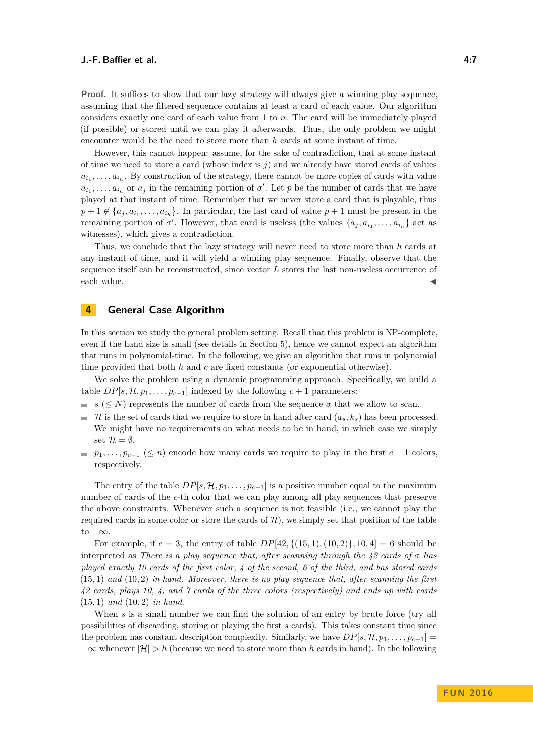**Proof.** It suffices to show that our lazy strategy will always give a winning play sequence, assuming that the filtered sequence contains at least a card of each value. Our algorithm considers exactly one card of each value from 1 to *n*. The card will be immediately played (if possible) or stored until we can play it afterwards. Thus, the only problem we might encounter would be the need to store more than *h* cards at some instant of time.

However, this cannot happen: assume, for the sake of contradiction, that at some instant of time we need to store a card (whose index is *j*) and we already have stored cards of values  $a_{i_1}, \ldots, a_{i_h}$ . By construction of the strategy, there cannot be more copies of cards with value  $a_{i_1}, \ldots, a_{i_h}$  or  $a_j$  in the remaining portion of  $\sigma'$ . Let *p* be the number of cards that we have played at that instant of time. Remember that we never store a card that is playable, thus  $p + 1 \notin \{a_j, a_{i_1}, \ldots, a_{i_h}\}.$  In particular, the last card of value  $p + 1$  must be present in the remaining portion of  $\sigma'$ . However, that card is useless (the values  $\{a_j, a_{i_1}, \ldots, a_{i_h}\}$  act as witnesses), which gives a contradiction.

Thus, we conclude that the lazy strategy will never need to store more than *h* cards at any instant of time, and it will yield a winning play sequence. Finally, observe that the sequence itself can be reconstructed, since vector *L* stores the last non-useless occurrence of each value.  $\blacktriangleleft$ 

# <span id="page-6-0"></span>**4 General Case Algorithm**

In this section we study the general problem setting. Recall that this problem is NP-complete, even if the hand size is small (see details in Section [5\)](#page-8-2), hence we cannot expect an algorithm that runs in polynomial-time. In the following, we give an algorithm that runs in polynomial time provided that both *h* and *c* are fixed constants (or exponential otherwise).

We solve the problem using a dynamic programming approach. Specifically, we build a table  $DP[s, \mathcal{H}, p_1, \ldots, p_{c-1}]$  indexed by the following  $c+1$  parameters:

- *s* ( $\leq N$ ) represents the number of cards from the sequence  $\sigma$  that we allow to scan.
- $\mathcal{H}$  is the set of cards that we require to store in hand after card  $(a_s, k_s)$  has been processed. We might have no requirements on what needs to be in hand, in which case we simply set  $\mathcal{H} = \emptyset$ .
- $p_1, \ldots, p_{c-1} \leq n$  encode how many cards we require to play in the first  $c-1$  colors, respectively.

The entry of the table  $DP[s, \mathcal{H}, p_1, \ldots, p_{c-1}]$  is a positive number equal to the maximum number of cards of the *c*-th color that we can play among all play sequences that preserve the above constraints. Whenever such a sequence is not feasible (i.e., we cannot play the required cards in some color or store the cards of  $H$ ), we simply set that position of the table to  $-\infty$ .

For example, if  $c = 3$ , the entry of table  $DP[42, \{(15, 1), (10, 2)\}, 10, 4] = 6$  should be interpreted as *There is a play sequence that, after scanning through the 42 cards of σ has played exactly 10 cards of the first color, 4 of the second, 6 of the third, and has stored cards* (15*,* 1) *and* (10*,* 2) *in hand. Moreover, there is no play sequence that, after scanning the first 42 cards, plays 10, 4, and 7 cards of the three colors (respectively) and ends up with cards* (15*,* 1) *and* (10*,* 2) *in hand*.

When *s* is a small number we can find the solution of an entry by brute force (try all possibilities of discarding, storing or playing the first *s* cards). This takes constant time since the problem has constant description complexity. Similarly, we have  $DP[s, \mathcal{H}, p_1, \ldots, p_{c-1}]$ −∞ whenever |H| *> h* (because we need to store more than *h* cards in hand). In the following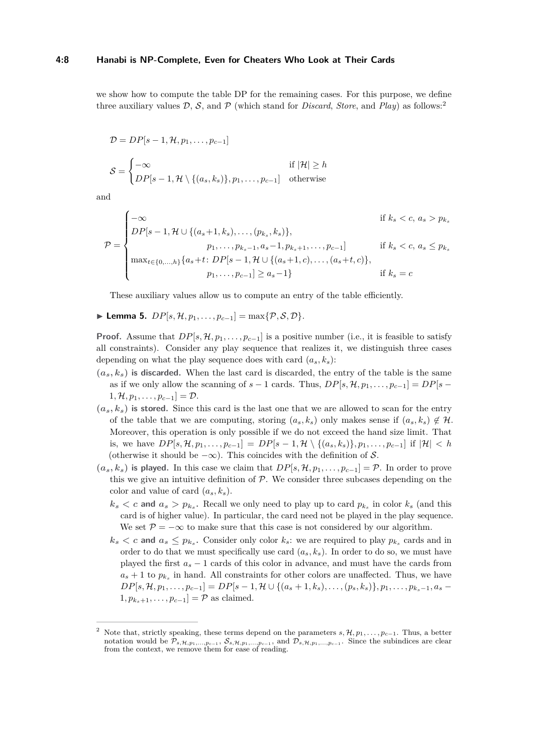#### **4:8 Hanabi is NP-Complete, Even for Cheaters Who Look at Their Cards**

we show how to compute the table DP for the remaining cases. For this purpose, we define three auxiliary values  $D$ ,  $S$ , and  $P$  (which stand for *Discard*, *Store*, and *Play*) as follows:<sup>[2](#page-7-0)</sup>

$$
\mathcal{D} = DP[s-1, \mathcal{H}, p_1, \dots, p_{c-1}]
$$
\n
$$
\mathcal{S} = \begin{cases}\n-\infty & \text{if } |\mathcal{H}| \ge h \\
DP[s-1, \mathcal{H} \setminus \{(a_s, k_s)\}, p_1, \dots, p_{c-1}] & \text{otherwise}\n\end{cases}
$$

and

$$
\mathcal{P} = \begin{cases}\n-\infty & \text{if } k_s < c, \, a_s > p_{k_s} \\
DP[s-1, \mathcal{H} \cup \{(a_s+1, k_s), \dots, (p_{k_s}, k_s)\}, & p_1, \dots, p_{k_s-1}, a_s-1, p_{k_s+1}, \dots, p_{c-1}] & \text{if } k_s < c, \, a_s \le p_{k_s} \\
\max_{t \in \{0, \dots, h\}} \{a_s + t : DP[s-1, \mathcal{H} \cup \{(a_s+1, c), \dots, (a_s+t, c)\}, & p_1, \dots, p_{c-1}] \ge a_s - 1\} & \text{if } k_s = c\n\end{cases}
$$

These auxiliary values allow us to compute an entry of the table efficiently.

### $\blacktriangleright$  **Lemma 5.** *DP*[*s*, *H*, *p*<sub>1</sub>*, . . . , p<sub>c−1</sub>] = max{* $\mathcal{P}, \mathcal{S}, \mathcal{D}$ *}<i>.*

**Proof.** Assume that  $DP[s, H, p_1, \ldots, p_{c-1}]$  is a positive number (i.e., it is feasible to satisfy all constraints). Consider any play sequence that realizes it, we distinguish three cases depending on what the play sequence does with card  $(a_s, k_s)$ :

- $(a_s, k_s)$  is discarded. When the last card is discarded, the entry of the table is the same as if we only allow the scanning of  $s - 1$  cards. Thus,  $DP[s, \mathcal{H}, p_1, \ldots, p_{c-1}] = DP[s 1, H, p_1, \ldots, p_{c-1}] = \mathcal{D}.$
- $(a_s, k_s)$  is stored. Since this card is the last one that we are allowed to scan for the entry of the table that we are computing, storing  $(a_s, k_s)$  only makes sense if  $(a_s, k_s) \notin \mathcal{H}$ . Moreover, this operation is only possible if we do not exceed the hand size limit. That is, we have  $DP[s, \mathcal{H}, p_1, \ldots, p_{c-1}] = DP[s-1, \mathcal{H} \setminus \{(a_s, k_s)\}, p_1, \ldots, p_{c-1}]$  if  $|\mathcal{H}| < h$ (otherwise it should be  $-\infty$ ). This coincides with the definition of S.
- $(a_s, k_s)$  is played. In this case we claim that  $DP[s, \mathcal{H}, p_1, \ldots, p_{c-1}] = \mathcal{P}$ . In order to prove this we give an intuitive definition of  $\mathcal{P}$ . We consider three subcases depending on the color and value of card  $(a_s, k_s)$ .
	- $k_s < c$  and  $a_s > p_{k_s}$ . Recall we only need to play up to card  $p_{k_s}$  in color  $k_s$  (and this card is of higher value). In particular, the card need not be played in the play sequence. We set  $\mathcal{P} = -\infty$  to make sure that this case is not considered by our algorithm.
	- $k_s < c$  and  $a_s \leq p_{k_s}$ . Consider only color  $k_s$ : we are required to play  $p_{k_s}$  cards and in order to do that we must specifically use card  $(a_s, k_s)$ . In order to do so, we must have played the first  $a<sub>s</sub> - 1$  cards of this color in advance, and must have the cards from  $a_s + 1$  to  $p_{k_s}$  in hand. All constraints for other colors are unaffected. Thus, we have  $DP[s, \mathcal{H}, p_1, \ldots, p_{c-1}] = DP[s-1, \mathcal{H} \cup \{(a_s+1, k_s), \ldots, (p_s, k_s)\}, p_1, \ldots, p_{k_s-1}, a_s-1\})$  $1, p_{k_*+1}, \ldots, p_{c-1}$  =  $\mathcal{P}$  as claimed.

<span id="page-7-0"></span>Note that, strictly speaking, these terms depend on the parameters  $s, \mathcal{H}, p_1, \ldots, p_{c-1}$ . Thus, a better notation would be  $\mathcal{P}_{s,\mathcal{H},p_1,...,p_{c-1}}$ ,  $\mathcal{S}_{s,\mathcal{H},p_1,...,p_{c-1}}$ , and  $\mathcal{D}_{s,\mathcal{H},p_1,...,p_{c-1}}$ . Since the subindices are clear from the context, we remove them for ease of reading.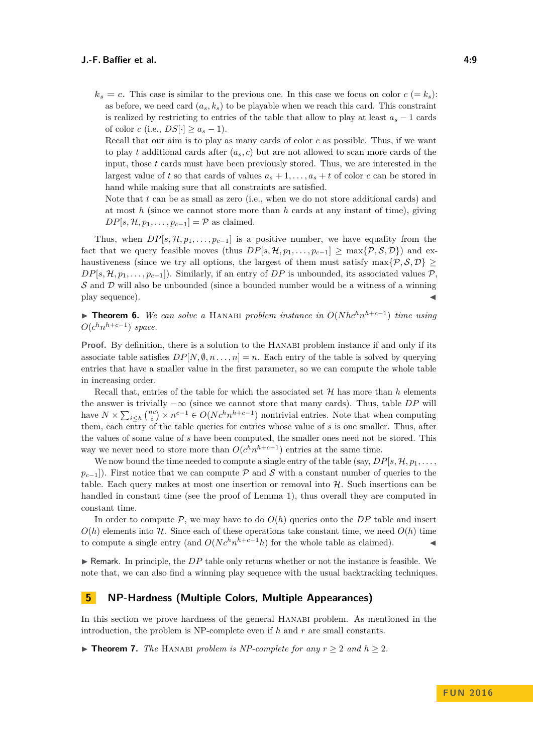$k_s = c$ . This case is similar to the previous one. In this case we focus on color  $c = k_s$ ): as before, we need card  $(a_s, k_s)$  to be playable when we reach this card. This constraint is realized by restricting to entries of the table that allow to play at least  $a_s - 1$  cards of color *c* (i.e.,  $DS[\cdot] \ge a_s - 1$ ).

Recall that our aim is to play as many cards of color *c* as possible. Thus, if we want to play *t* additional cards after  $(a_s, c)$  but are not allowed to scan more cards of the input, those *t* cards must have been previously stored. Thus, we are interested in the largest value of *t* so that cards of values  $a_s + 1, \ldots, a_s + t$  of color *c* can be stored in hand while making sure that all constraints are satisfied.

Note that *t* can be as small as zero (i.e., when we do not store additional cards) and at most *h* (since we cannot store more than *h* cards at any instant of time), giving  $DP[s, \mathcal{H}, p_1, \ldots, p_{c-1}] = \mathcal{P}$  as claimed.

Thus, when  $DP[s, H, p_1, \ldots, p_{c-1}]$  is a positive number, we have equality from the fact that we query feasible moves (thus  $DP[s, H, p_1, \ldots, p_{c-1}] > \max\{\mathcal{P}, \mathcal{S}, \mathcal{D}\}\)$  and exhaustiveness (since we try all options, the largest of them must satisfy max $\{P, S, D\} \geq$  $DP[s, H, p_1, \ldots, p_{c-1}].$  Similarly, if an entry of *DP* is unbounded, its associated values P.  $S$  and  $D$  will also be unbounded (since a bounded number would be a witness of a winning play sequence).

<span id="page-8-0"></span>▶ **Theorem 6.** We can solve a HANABI problem instance in  $O(Nhc^h n^{h+c-1})$  time using  $O(c^h n^{h+c-1})$  *space.* 

**Proof.** By definition, there is a solution to the HANABI problem instance if and only if its associate table satisfies  $DP[N, \emptyset, n \ldots, n] = n$ . Each entry of the table is solved by querying entries that have a smaller value in the first parameter, so we can compute the whole table in increasing order.

Recall that, entries of the table for which the associated set  $\mathcal H$  has more than  $h$  elements the answer is trivially  $-\infty$  (since we cannot store that many cards). Thus, table *DP* will have  $N \times \sum_{i \leq h} \binom{nc}{i} \times n^{c-1} \in O(Nc^h n^{h+c-1})$  nontrivial entries. Note that when computing them, each entry of the table queries for entries whose value of *s* is one smaller. Thus, after the values of some value of *s* have been computed, the smaller ones need not be stored. This way we never need to store more than  $O(c^h n^{h+c-1})$  entries at the same time.

We now bound the time needed to compute a single entry of the table (say,  $DP[s, H, p_1, \ldots,$  $p_{c-1}$ ). First notice that we can compute P and S with a constant number of queries to the table. Each query makes at most one insertion or removal into  $H$ . Such insertions can be handled in constant time (see the proof of Lemma [1\)](#page-3-0), thus overall they are computed in constant time.

In order to compute  $P$ , we may have to do  $O(h)$  queries onto the *DP* table and insert  $O(h)$  elements into  $H$ . Since each of these operations take constant time, we need  $O(h)$  time to compute a single entry (and  $O(Nc^h n^{h+c-1}h)$  for the whole table as claimed).

 $\triangleright$  Remark. In principle, the *DP* table only returns whether or not the instance is feasible. We note that, we can also find a winning play sequence with the usual backtracking techniques.

# <span id="page-8-2"></span>**5 NP-Hardness (Multiple Colors, Multiple Appearances)**

In this section we prove hardness of the general Hanabi problem. As mentioned in the introduction, the problem is NP-complete even if *h* and *r* are small constants.

<span id="page-8-1"></span>▶ **Theorem 7.** *The* HANABI *problem is NP-complete for any*  $r \geq 2$  *and*  $h \geq 2$ *.*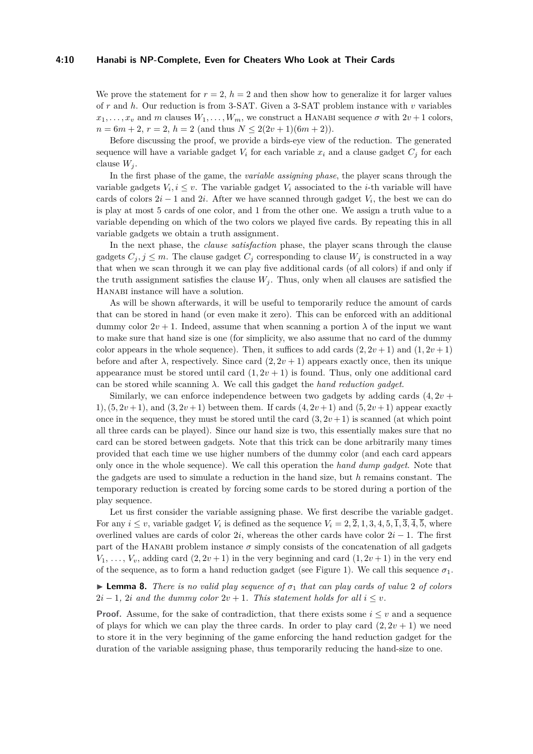#### **4:10 Hanabi is NP-Complete, Even for Cheaters Who Look at Their Cards**

We prove the statement for  $r = 2$ ,  $h = 2$  and then show how to generalize it for larger values of *r* and *h*. Our reduction is from 3-SAT. Given a 3-SAT problem instance with *v* variables  $x_1, \ldots, x_v$  and *m* clauses  $W_1, \ldots, W_m$ , we construct a HANABI sequence  $\sigma$  with  $2v + 1$  colors,  $n = 6m + 2, r = 2, h = 2$  (and thus  $N \leq 2(2v + 1)(6m + 2)$ ).

Before discussing the proof, we provide a birds-eye view of the reduction. The generated sequence will have a variable gadget  $V_i$  for each variable  $x_i$  and a clause gadget  $C_i$  for each clause  $W_i$ .

In the first phase of the game, the *variable assigning phase*, the player scans through the variable gadgets  $V_i, i \leq v$ . The variable gadget  $V_i$  associated to the *i*-th variable will have cards of colors  $2i - 1$  and  $2i$ . After we have scanned through gadget  $V_i$ , the best we can do is play at most 5 cards of one color, and 1 from the other one. We assign a truth value to a variable depending on which of the two colors we played five cards. By repeating this in all variable gadgets we obtain a truth assignment.

In the next phase, the *clause satisfaction* phase, the player scans through the clause gadgets  $C_j$ ,  $j \leq m$ . The clause gadget  $C_j$  corresponding to clause  $W_j$  is constructed in a way that when we scan through it we can play five additional cards (of all colors) if and only if the truth assignment satisfies the clause  $W_j$ . Thus, only when all clauses are satisfied the HANABI instance will have a solution.

As will be shown afterwards, it will be useful to temporarily reduce the amount of cards that can be stored in hand (or even make it zero). This can be enforced with an additional dummy color  $2v + 1$ . Indeed, assume that when scanning a portion  $\lambda$  of the input we want to make sure that hand size is one (for simplicity, we also assume that no card of the dummy color appears in the whole sequence). Then, it suffices to add cards  $(2, 2v + 1)$  and  $(1, 2v + 1)$ before and after  $\lambda$ , respectively. Since card  $(2, 2v + 1)$  appears exactly once, then its unique appearance must be stored until card  $(1, 2v + 1)$  is found. Thus, only one additional card can be stored while scanning *λ*. We call this gadget the *hand reduction gadget*.

Similarly, we can enforce independence between two gadgets by adding cards  $(4, 2\nu +$ 1),  $(5, 2v+1)$ , and  $(3, 2v+1)$  between them. If cards  $(4, 2v+1)$  and  $(5, 2v+1)$  appear exactly once in the sequence, they must be stored until the card  $(3, 2v + 1)$  is scanned (at which point all three cards can be played). Since our hand size is two, this essentially makes sure that no card can be stored between gadgets. Note that this trick can be done arbitrarily many times provided that each time we use higher numbers of the dummy color (and each card appears only once in the whole sequence). We call this operation the *hand dump gadget*. Note that the gadgets are used to simulate a reduction in the hand size, but *h* remains constant. The temporary reduction is created by forcing some cards to be stored during a portion of the play sequence.

Let us first consider the variable assigning phase. We first describe the variable gadget. For any  $i \leq v$ , variable gadget  $V_i$  is defined as the sequence  $V_i = 2, \overline{2}, 1, 3, 4, 5, \overline{1}, \overline{3}, \overline{4}, \overline{5}$ , where overlined values are cards of color 2*i*, whereas the other cards have color 2*i* − 1. The first part of the HANABI problem instance  $\sigma$  simply consists of the concatenation of all gadgets  $V_1, \ldots, V_v$ , adding card  $(2, 2v + 1)$  in the very beginning and card  $(1, 2v + 1)$  in the very end of the sequence, as to form a hand reduction gadget (see Figure [1\)](#page-10-0). We call this sequence  $\sigma_1$ .

<span id="page-9-0"></span>**Lemma 8.** *There is no valid play sequence of*  $\sigma_1$  *that can play cards of value* 2 *of colors*  $2i - 1$ ,  $2i$  *and the dummy color*  $2v + 1$ *. This statement holds for all*  $i \leq v$ *.* 

**Proof.** Assume, for the sake of contradiction, that there exists some  $i \leq v$  and a sequence of plays for which we can play the three cards. In order to play card  $(2, 2\nu + 1)$  we need to store it in the very beginning of the game enforcing the hand reduction gadget for the duration of the variable assigning phase, thus temporarily reducing the hand-size to one.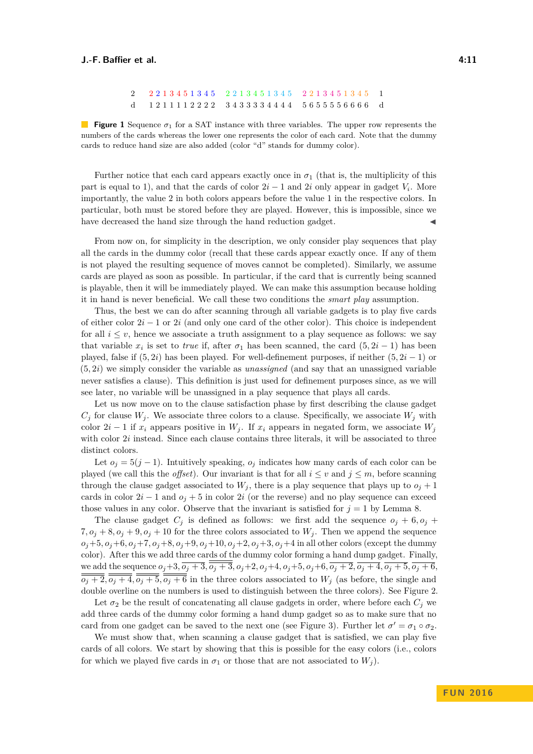$2\quad 2\; 2\; 1\; 3\; 4\; 5\; 1\; 3\; 4\; 5 \quad 2\; 2\; 1\; 3\; 4\; 5\; 1\; 3\; 4\; 5 \quad 2\; 2\; 1\; 3\; 4\; 5\; 1\; 3\; 4\; 5 \qquad 1$ d 1 2 1 1 1 1 2 2 2 2 3 4 3 3 3 3 4 4 4 4 5 6 5 5 5 5 6 6 6 6 d

<span id="page-10-0"></span>**Figure 1** Sequence *σ*<sup>1</sup> for a SAT instance with three variables. The upper row represents the numbers of the cards whereas the lower one represents the color of each card. Note that the dummy cards to reduce hand size are also added (color "d" stands for dummy color).

Further notice that each card appears exactly once in  $\sigma_1$  (that is, the multiplicity of this part is equal to 1), and that the cards of color  $2i - 1$  and  $2i$  only appear in gadget  $V_i$ . More importantly, the value 2 in both colors appears before the value 1 in the respective colors. In particular, both must be stored before they are played. However, this is impossible, since we have decreased the hand size through the hand reduction gadget.

From now on, for simplicity in the description, we only consider play sequences that play all the cards in the dummy color (recall that these cards appear exactly once. If any of them is not played the resulting sequence of moves cannot be completed). Similarly, we assume cards are played as soon as possible. In particular, if the card that is currently being scanned is playable, then it will be immediately played. We can make this assumption because holding it in hand is never beneficial. We call these two conditions the *smart play* assumption.

Thus, the best we can do after scanning through all variable gadgets is to play five cards of either color 2*i* − 1 or 2*i* (and only one card of the other color). This choice is independent for all  $i \leq v$ , hence we associate a truth assignment to a play sequence as follows: we say that variable  $x_i$  is set to *true* if, after  $\sigma_1$  has been scanned, the card  $(5, 2i - 1)$  has been played, false if  $(5, 2i)$  has been played. For well-definement purposes, if neither  $(5, 2i - 1)$  or (5*,* 2*i*) we simply consider the variable as *unassigned* (and say that an unassigned variable never satisfies a clause). This definition is just used for definement purposes since, as we will see later, no variable will be unassigned in a play sequence that plays all cards.

Let us now move on to the clause satisfaction phase by first describing the clause gadget  $C_i$  for clause  $W_i$ . We associate three colors to a clause. Specifically, we associate  $W_i$  with color  $2i - 1$  if  $x_i$  appears positive in  $W_j$ . If  $x_i$  appears in negated form, we associate  $W_j$ with color 2*i* instead. Since each clause contains three literals, it will be associated to three distinct colors.

Let  $o_j = 5(j - 1)$ . Intuitively speaking,  $o_j$  indicates how many cards of each color can be played (we call this the *offset*). Our invariant is that for all  $i \leq v$  and  $j \leq m$ , before scanning through the clause gadget associated to  $W_j$ , there is a play sequence that plays up to  $o_j + 1$ cards in color  $2i - 1$  and  $o_j + 5$  in color  $2i$  (or the reverse) and no play sequence can exceed those values in any color. Observe that the invariant is satisfied for  $j = 1$  by Lemma [8.](#page-9-0)

The clause gadget  $C_j$  is defined as follows: we first add the sequence  $o_j + 6, o_j + 6$  $7, o_j + 8, o_j + 9, o_j + 10$  for the three colors associated to  $W_j$ . Then we append the sequence  $o_j + 5$ ,  $o_j + 6$ ,  $o_j + 7$ ,  $o_j + 8$ ,  $o_j + 9$ ,  $o_j + 10$ ,  $o_j + 2$ ,  $o_j + 3$ ,  $o_j + 4$  in all other colors (except the dummy color). After this we add three cards of the dummy color forming a hand dump gadget. Finally, we add the sequence  $o_j + 3$ ,  $\overline{o_j + 3}$ ,  $\overline{o_j + 3}$ ,  $o_j + 2$ ,  $o_j + 4$ ,  $o_j + 5$ ,  $o_j + 6$ ,  $\overline{o_j + 2}$ ,  $\overline{o_j + 4}$ ,  $\overline{o_j + 5}$ ,  $\overline{o_j + 6}$ ,  $\overline{o_j+2}, \overline{o_j+4}, \overline{o_j+5}, \overline{o_j+6}$  in the three colors associated to *W<sub>j</sub>* (as before, the single and double overline on the numbers is used to distinguish between the three colors). See Figure [2.](#page-11-0)

Let  $\sigma_2$  be the result of concatenating all clause gadgets in order, where before each  $C_i$  we add three cards of the dummy color forming a hand dump gadget so as to make sure that no card from one gadget can be saved to the next one (see Figure [3\)](#page-11-1). Further let  $\sigma' = \sigma_1 \circ \sigma_2$ .

We must show that, when scanning a clause gadget that is satisfied, we can play five cards of all colors. We start by showing that this is possible for the easy colors (i.e., colors for which we played five cards in  $\sigma_1$  or those that are not associated to  $W_i$ ).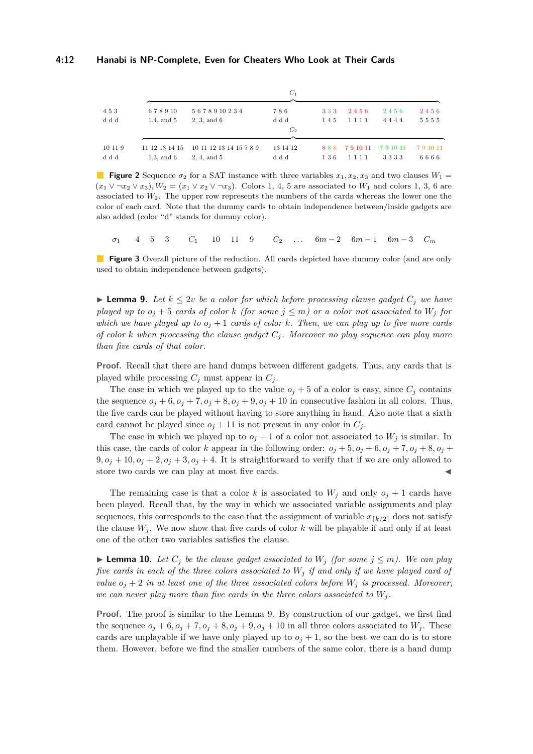<span id="page-11-0"></span>

|                |                                   |                                        | $C_1$                   |            |                |                |                |
|----------------|-----------------------------------|----------------------------------------|-------------------------|------------|----------------|----------------|----------------|
| 453            | 678910                            | 5678910234                             | 786                     | 333        | 2456           | 2456           | 2456           |
| ddd            | $1.4$ , and $5$                   | 2, 3, and 6                            | d d d<br>C <sub>2</sub> | 145        | 1111           | 4444           | 5555           |
|                |                                   |                                        |                         |            |                |                |                |
| 10 11 9<br>ddd | 11 12 13 14 15<br>$1.3$ , and $6$ | 10 11 12 13 14 15 7 8 9<br>2, 4, and 5 | 13 14 12<br>d d d       | 888<br>136 | 791011<br>1111 | 791011<br>3333 | 791011<br>6666 |

**Figure 2** Sequence  $\sigma_2$  for a SAT instance with three variables  $x_1, x_2, x_3$  and two clauses  $W_1 =$  $(x_1 \vee \neg x_2 \vee x_3)$ ,  $W_2 = (x_1 \vee x_2 \vee \neg x_3)$ . Colors 1, 4, 5 are associated to  $W_1$  and colors 1, 3, 6 are associated to  $W_2$ . The upper row represents the numbers of the cards whereas the lower one the color of each card. Note that the dummy cards to obtain independence between/inside gadgets are also added (color "d" stands for dummy color).

<span id="page-11-1"></span> $\sigma_1$  4 5 3  $C_1$  10 11 9  $C_2$  ...  $6m-2$   $6m-1$   $6m-3$   $C_m$ 

**Figure 3** Overall picture of the reduction. All cards depicted have dummy color (and are only used to obtain independence between gadgets).

<span id="page-11-2"></span>► **Lemma 9.** Let  $k \leq 2v$  be a color for which before processing clause gadget  $C_j$  we have *played up to*  $o_j + 5$  *cards of color k* (for some  $j \leq m$ ) or a color not associated to  $W_j$  for *which we have played up to*  $o_j + 1$  *cards of color k. Then, we can play up to five more cards of color*  $k$  *when processing the clause gadget*  $C_j$ *. Moreover no play sequence can play more than five cards of that color.*

**Proof.** Recall that there are hand dumps between different gadgets. Thus, any cards that is played while processing  $C_j$  must appear in  $C_j$ .

The case in which we played up to the value  $o_j + 5$  of a color is easy, since  $C_j$  contains the sequence  $o_j + 6$ ,  $o_j + 7$ ,  $o_j + 8$ ,  $o_j + 9$ ,  $o_j + 10$  in consecutive fashion in all colors. Thus, the five cards can be played without having to store anything in hand. Also note that a sixth card cannot be played since  $o_j + 11$  is not present in any color in  $C_j$ .

The case in which we played up to  $o_j + 1$  of a color not associated to  $W_j$  is similar. In this case, the cards of color *k* appear in the following order:  $o_j + 5$ ,  $o_j + 6$ ,  $o_j + 7$ ,  $o_j + 8$ ,  $o_j + 7$  $9, o_j + 10, o_j + 2, o_j + 3, o_j + 4$ . It is straightforward to verify that if we are only allowed to store two cards we can play at most five cards.

The remaining case is that a color *k* is associated to  $W_j$  and only  $o_j + 1$  cards have been played. Recall that, by the way in which we associated variable assignments and play sequences, this corresponds to the case that the assignment of variable  $x_{k/2}$  does not satisfy the clause  $W_j$ . We now show that five cards of color  $k$  will be playable if and only if at least one of the other two variables satisfies the clause.

<span id="page-11-3"></span>▶ **Lemma 10.** Let  $C_j$  be the clause gadget associated to  $W_j$  (for some  $j \leq m$ ). We can play *five cards in each of the three colors associated to W<sup>j</sup> if and only if we have played card of value*  $o_j + 2$  *in at least one of the three associated colors before*  $W_j$  *is processed. Moreover, we can never play more than five cards in the three colors associated to*  $W_i$ .

**Proof.** The proof is similar to the Lemma [9.](#page-11-2) By construction of our gadget, we first find the sequence  $o_j + 6$ ,  $o_j + 7$ ,  $o_j + 8$ ,  $o_j + 9$ ,  $o_j + 10$  in all three colors associated to  $W_j$ . These cards are unplayable if we have only played up to  $o_j + 1$ , so the best we can do is to store them. However, before we find the smaller numbers of the same color, there is a hand dump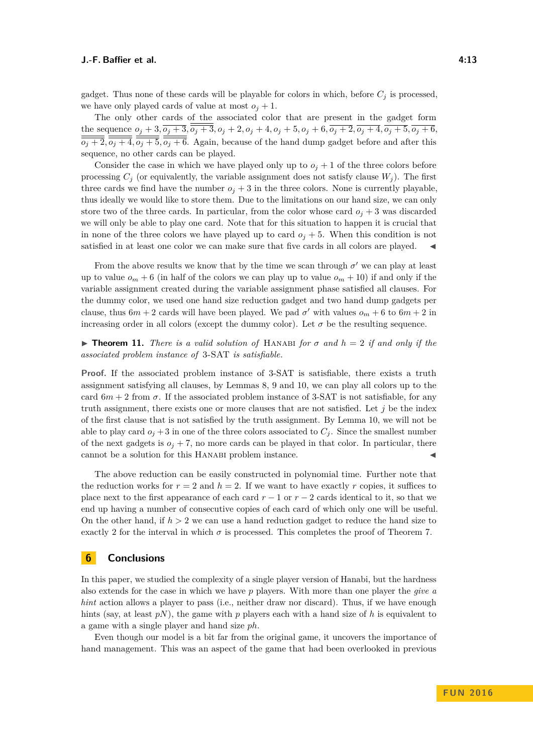gadget. Thus none of these cards will be playable for colors in which, before  $C_i$  is processed, we have only played cards of value at most  $o_j + 1$ .

The only other cards of the associated color that are present in the gadget form the sequence  $o_j + 3$ ,  $\overline{o_j + 3}$ ,  $\overline{o_j + 3}$ ,  $o_j + 2$ ,  $o_j + 4$ ,  $o_j + 5$ ,  $o_j + 6$ ,  $\overline{o_j + 2}$ ,  $\overline{o_j + 4}$ ,  $\overline{o_j + 5}$ ,  $\overline{o_j + 6}$ ,  $\overline{o_j+2}$ ,  $\overline{o_j+4}$ ,  $\overline{o_j+5}$ ,  $\overline{o_j+6}$ . Again, because of the hand dump gadget before and after this sequence, no other cards can be played.

Consider the case in which we have played only up to  $o_j + 1$  of the three colors before processing  $C_j$  (or equivalently, the variable assignment does not satisfy clause  $W_j$ ). The first three cards we find have the number  $o_j + 3$  in the three colors. None is currently playable, thus ideally we would like to store them. Due to the limitations on our hand size, we can only store two of the three cards. In particular, from the color whose card  $o_j + 3$  was discarded we will only be able to play one card. Note that for this situation to happen it is crucial that in none of the three colors we have played up to card  $o_j + 5$ . When this condition is not satisfied in at least one color we can make sure that five cards in all colors are played.  $\blacktriangleleft$ 

From the above results we know that by the time we scan through  $\sigma'$  we can play at least up to value  $o_m + 6$  (in half of the colors we can play up to value  $o_m + 10$ ) if and only if the variable assignment created during the variable assignment phase satisfied all clauses. For the dummy color, we used one hand size reduction gadget and two hand dump gadgets per clause, thus  $6m + 2$  cards will have been played. We pad  $\sigma'$  with values  $o_m + 6$  to  $6m + 2$  in increasing order in all colors (except the dummy color). Let  $\sigma$  be the resulting sequence.

**Figure 11.** *There is a valid solution of* HANABI *for*  $\sigma$  *and*  $h = 2$  *if and only if the associated problem instance of* 3-SAT *is satisfiable.*

**Proof.** If the associated problem instance of 3-SAT is satisfiable, there exists a truth assignment satisfying all clauses, by Lemmas [8,](#page-9-0) [9](#page-11-2) and [10,](#page-11-3) we can play all colors up to the card  $6m + 2$  from  $\sigma$ . If the associated problem instance of 3-SAT is not satisfiable, for any truth assignment, there exists one or more clauses that are not satisfied. Let *j* be the index of the first clause that is not satisfied by the truth assignment. By Lemma [10,](#page-11-3) we will not be able to play card  $o_j + 3$  in one of the three colors associated to  $C_j$ . Since the smallest number of the next gadgets is  $o_j + 7$ , no more cards can be played in that color. In particular, there cannot be a solution for this HANABI problem instance.

The above reduction can be easily constructed in polynomial time. Further note that the reduction works for  $r = 2$  and  $h = 2$ . If we want to have exactly r copies, it suffices to place next to the first appearance of each card  $r - 1$  or  $r - 2$  cards identical to it, so that we end up having a number of consecutive copies of each card of which only one will be useful. On the other hand, if  $h > 2$  we can use a hand reduction gadget to reduce the hand size to exactly 2 for the interval in which  $\sigma$  is processed. This completes the proof of Theorem [7.](#page-8-1)

## **6 Conclusions**

In this paper, we studied the complexity of a single player version of Hanabi, but the hardness also extends for the case in which we have *p* players. With more than one player the *give a hint* action allows a player to pass (i.e., neither draw nor discard). Thus, if we have enough hints (say, at least  $pN$ ), the game with  $p$  players each with a hand size of  $h$  is equivalent to a game with a single player and hand size *ph*.

Even though our model is a bit far from the original game, it uncovers the importance of hand management. This was an aspect of the game that had been overlooked in previous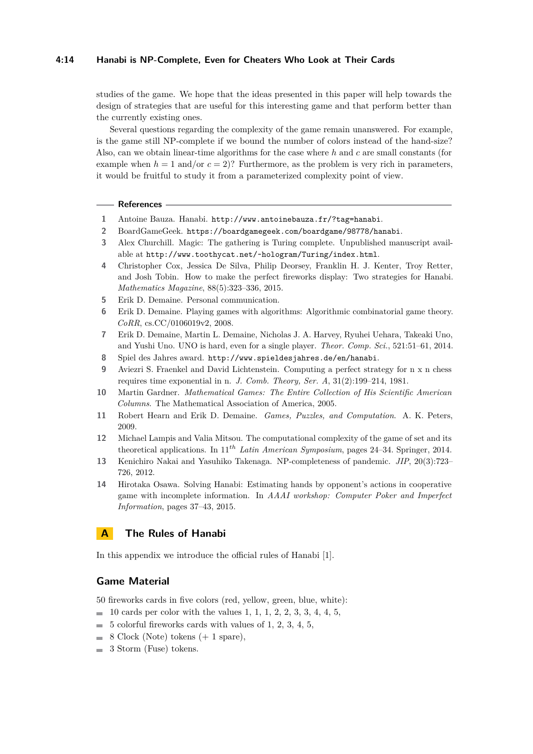#### **4:14 Hanabi is NP-Complete, Even for Cheaters Who Look at Their Cards**

studies of the game. We hope that the ideas presented in this paper will help towards the design of strategies that are useful for this interesting game and that perform better than the currently existing ones.

Several questions regarding the complexity of the game remain unanswered. For example, is the game still NP-complete if we bound the number of colors instead of the hand-size? Also, can we obtain linear-time algorithms for the case where *h* and *c* are small constants (for example when  $h = 1$  and/or  $c = 2$ ? Furthermore, as the problem is very rich in parameters, it would be fruitful to study it from a parameterized complexity point of view.

#### **References**

- <span id="page-13-7"></span>**1** Antoine Bauza. Hanabi. <http://www.antoinebauza.fr/?tag=hanabi>.
- <span id="page-13-8"></span>**2** BoardGameGeek. <https://boardgamegeek.com/boardgame/98778/hanabi>.
- <span id="page-13-12"></span>**3** Alex Churchill. Magic: The gathering is Turing complete. Unpublished manuscript available at <http://www.toothycat.net/~hologram/Turing/index.html>.
- <span id="page-13-14"></span>**4** Christopher Cox, Jessica De Silva, Philip Deorsey, Franklin H. J. Kenter, Troy Retter, and Josh Tobin. How to make the perfect fireworks display: Two strategies for Hanabi. *Mathematics Magazine*, 88(5):323–336, 2015.
- <span id="page-13-11"></span>**5** Erik D. Demaine. Personal communication.
- <span id="page-13-0"></span>**6** Erik D. Demaine. Playing games with algorithms: Algorithmic combinatorial game theory. *CoRR*, cs.CC/0106019v2, 2008.
- <span id="page-13-4"></span>**7** Erik D. Demaine, Martin L. Demaine, Nicholas J. A. Harvey, Ryuhei Uehara, Takeaki Uno, and Yushi Uno. UNO is hard, even for a single player. *Theor. Comp. Sci.*, 521:51–61, 2014.
- <span id="page-13-3"></span>**8** Spiel des Jahres award. <http://www.spieldesjahres.de/en/hanabi>.
- <span id="page-13-9"></span>**9** Aviezri S. Fraenkel and David Lichtenstein. Computing a perfect strategy for n x n chess requires time exponential in n. *J. Comb. Theory, Ser. A*, 31(2):199–214, 1981.
- <span id="page-13-1"></span>**10** Martin Gardner. *Mathematical Games: The Entire Collection of His Scientific American Columns*. The Mathematical Association of America, 2005.
- <span id="page-13-2"></span>**11** Robert Hearn and Erik D. Demaine. *Games, Puzzles, and Computation*. A. K. Peters, 2009.
- <span id="page-13-5"></span>**12** Michael Lampis and Valia Mitsou. The computational complexity of the game of set and its theoretical applications. In 11*th Latin American Symposium*, pages 24–34. Springer, 2014.
- <span id="page-13-10"></span>**13** Kenichiro Nakai and Yasuhiko Takenaga. NP-completeness of pandemic. *JIP*, 20(3):723– 726, 2012.
- <span id="page-13-13"></span>**14** Hirotaka Osawa. Solving Hanabi: Estimating hands by opponent's actions in cooperative game with incomplete information. In *AAAI workshop: Computer Poker and Imperfect Information*, pages 37–43, 2015.

# <span id="page-13-6"></span>**A The Rules of Hanabi**

In this appendix we introduce the official rules of Hanabi [\[1\]](#page-13-7).

### **Game Material**

50 fireworks cards in five colors (red, yellow, green, blue, white):

- $\blacksquare$  10 cards per color with the values 1, 1, 1, 2, 2, 3, 3, 4, 4, 5,
- 5 colorful fireworks cards with values of 1, 2, 3, 4, 5, m.
- $\blacksquare$  8 Clock (Note) tokens (+ 1 spare),
- $\sim$ 3 Storm (Fuse) tokens.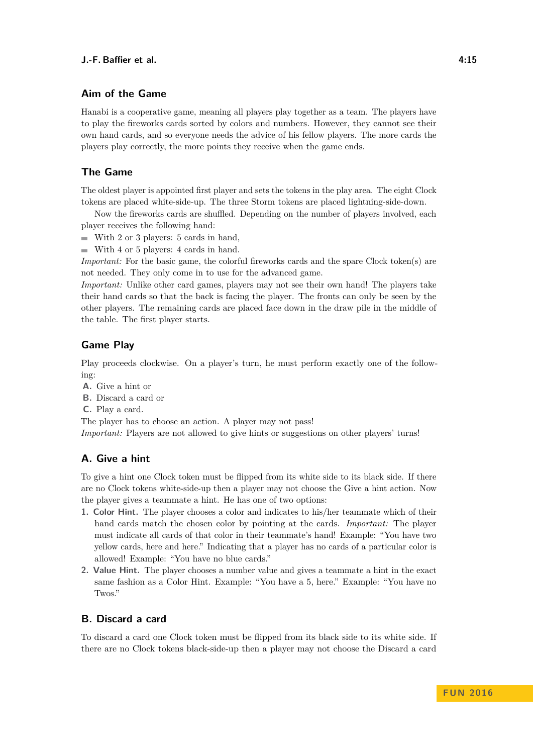# **Aim of the Game**

Hanabi is a cooperative game, meaning all players play together as a team. The players have to play the fireworks cards sorted by colors and numbers. However, they cannot see their own hand cards, and so everyone needs the advice of his fellow players. The more cards the players play correctly, the more points they receive when the game ends.

# **The Game**

The oldest player is appointed first player and sets the tokens in the play area. The eight Clock tokens are placed white-side-up. The three Storm tokens are placed lightning-side-down.

Now the fireworks cards are shuffled. Depending on the number of players involved, each player receives the following hand:

- $\blacksquare$  With 2 or 3 players: 5 cards in hand,
- $\blacksquare$  With 4 or 5 players: 4 cards in hand.

*Important:* For the basic game, the colorful fireworks cards and the spare Clock token(s) are not needed. They only come in to use for the advanced game.

*Important:* Unlike other card games, players may not see their own hand! The players take their hand cards so that the back is facing the player. The fronts can only be seen by the other players. The remaining cards are placed face down in the draw pile in the middle of the table. The first player starts.

### **Game Play**

Play proceeds clockwise. On a player's turn, he must perform exactly one of the following:

- **A.** Give a hint or
- **B.** Discard a card or
- **C.** Play a card.

The player has to choose an action. A player may not pass!

*Important:* Players are not allowed to give hints or suggestions on other players' turns!

# **A. Give a hint**

To give a hint one Clock token must be flipped from its white side to its black side. If there are no Clock tokens white-side-up then a player may not choose the Give a hint action. Now the player gives a teammate a hint. He has one of two options:

- **1. Color Hint.** The player chooses a color and indicates to his/her teammate which of their hand cards match the chosen color by pointing at the cards. *Important:* The player must indicate all cards of that color in their teammate's hand! Example: "You have two yellow cards, here and here." Indicating that a player has no cards of a particular color is allowed! Example: "You have no blue cards."
- **2. Value Hint.** The player chooses a number value and gives a teammate a hint in the exact same fashion as a Color Hint. Example: "You have a 5, here." Example: "You have no Twos."

## **B. Discard a card**

To discard a card one Clock token must be flipped from its black side to its white side. If there are no Clock tokens black-side-up then a player may not choose the Discard a card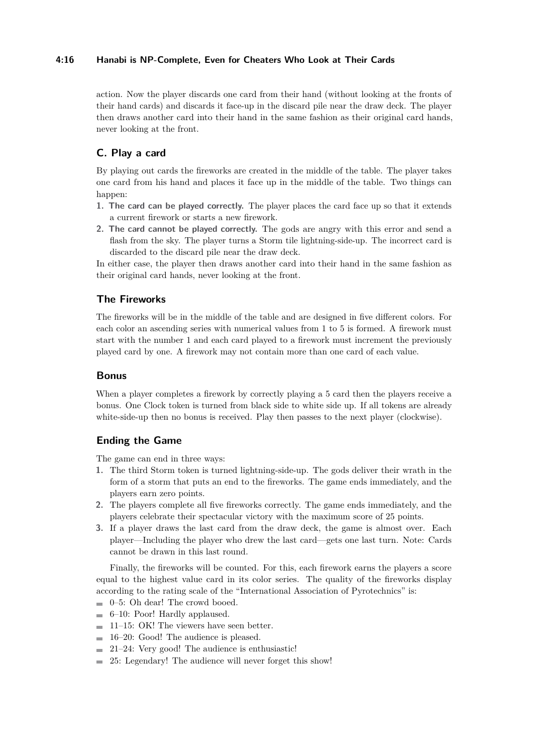## **4:16 Hanabi is NP-Complete, Even for Cheaters Who Look at Their Cards**

action. Now the player discards one card from their hand (without looking at the fronts of their hand cards) and discards it face-up in the discard pile near the draw deck. The player then draws another card into their hand in the same fashion as their original card hands, never looking at the front.

# **C. Play a card**

By playing out cards the fireworks are created in the middle of the table. The player takes one card from his hand and places it face up in the middle of the table. Two things can happen:

- **1. The card can be played correctly.** The player places the card face up so that it extends a current firework or starts a new firework.
- **2. The card cannot be played correctly.** The gods are angry with this error and send a flash from the sky. The player turns a Storm tile lightning-side-up. The incorrect card is discarded to the discard pile near the draw deck.

In either case, the player then draws another card into their hand in the same fashion as their original card hands, never looking at the front.

# **The Fireworks**

The fireworks will be in the middle of the table and are designed in five different colors. For each color an ascending series with numerical values from 1 to 5 is formed. A firework must start with the number 1 and each card played to a firework must increment the previously played card by one. A firework may not contain more than one card of each value.

### **Bonus**

When a player completes a firework by correctly playing a 5 card then the players receive a bonus. One Clock token is turned from black side to white side up. If all tokens are already white-side-up then no bonus is received. Play then passes to the next player (clockwise).

# **Ending the Game**

The game can end in three ways:

- **1.** The third Storm token is turned lightning-side-up. The gods deliver their wrath in the form of a storm that puts an end to the fireworks. The game ends immediately, and the players earn zero points.
- **2.** The players complete all five fireworks correctly. The game ends immediately, and the players celebrate their spectacular victory with the maximum score of 25 points.
- **3.** If a player draws the last card from the draw deck, the game is almost over. Each player—Including the player who drew the last card—gets one last turn. Note: Cards cannot be drawn in this last round.

Finally, the fireworks will be counted. For this, each firework earns the players a score equal to the highest value card in its color series. The quality of the fireworks display according to the rating scale of the "International Association of Pyrotechnics" is:

- $\blacksquare$  0–5: Oh dear! The crowd booed.
- $\equiv$  6–10: Poor! Hardly applaused.
- $\blacksquare$  11–15: OK! The viewers have seen better.
- $\blacksquare$  16–20: Good! The audience is pleased.
- $\equiv$  21–24: Very good! The audience is enthusiastic!
- $\blacksquare$  25: Legendary! The audience will never forget this show!